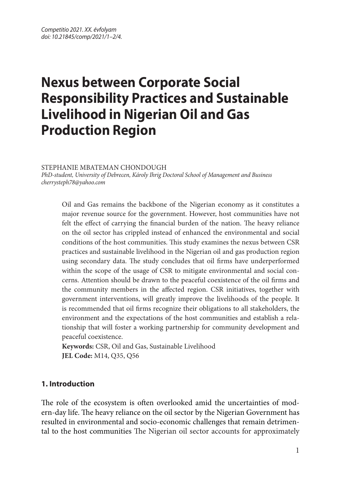# **Nexus between Corporate Social Responsibility Practices and Sustainable Livelihood in Nigerian Oil and Gas Production Region**

STEPHANIE MBATEMAN CHONDOUGH

*PhD-student, University of Debrecen, Károly Ihrig Doctoral School of Management and Business cherrysteph78@yahoo.com*

Oil and Gas remains the backbone of the Nigerian economy as it constitutes a major revenue source for the government. However, host communities have not felt the effect of carrying the financial burden of the nation. The heavy reliance on the oil sector has crippled instead of enhanced the environmental and social conditions of the host communities. This study examines the nexus between CSR practices and sustainable livelihood in the Nigerian oil and gas production region using secondary data. The study concludes that oil firms have underperformed within the scope of the usage of CSR to mitigate environmental and social concerns. Attention should be drawn to the peaceful coexistence of the oil firms and the community members in the affected region. CSR initiatives, together with government interventions, will greatly improve the livelihoods of the people. It is recommended that oil firms recognize their obligations to all stakeholders, the environment and the expectations of the host communities and establish a relationship that will foster a working partnership for community development and peaceful coexistence.

**Keywords:** CSR, Oil and Gas, Sustainable Livelihood **JEL Code:** M14, Q35, Q56

## **1. Introduction**

The role of the ecosystem is often overlooked amid the uncertainties of modern-day life. The heavy reliance on the oil sector by the Nigerian Government has resulted in environmental and socio-economic challenges that remain detrimental to the host communities The Nigerian oil sector accounts for approximately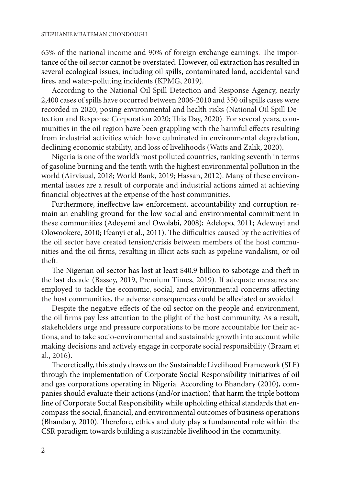65% of the national income and 90% of foreign exchange earnings. The importance of the oil sector cannot be overstated. However, oil extraction has resulted in several ecological issues, including oil spills, contaminated land, accidental sand fires, and water-polluting incidents (KPMG, 2019).

According to the National Oil Spill Detection and Response Agency, nearly 2,400 cases of spills have occurred between 2006-2010 and 350 oil spills cases were recorded in 2020, posing environmental and health risks (National Oil Spill Detection and Response Corporation 2020; This Day, 2020). For several years, communities in the oil region have been grappling with the harmful effects resulting from industrial activities which have culminated in environmental degradation, declining economic stability, and loss of livelihoods (Watts and Zalik, 2020).

Nigeria is one of the world's most polluted countries, ranking seventh in terms of gasoline burning and the tenth with the highest environmental pollution in the world (Airvisual, 2018; World Bank, 2019; Hassan, 2012). Many of these environmental issues are a result of corporate and industrial actions aimed at achieving financial objectives at the expense of the host communities.

Furthermore, ineffective law enforcement, accountability and corruption remain an enabling ground for the low social and environmental commitment in these communities (Adeyemi and Owolabi, 2008); Adelopo, 2011; Adewuyi and Olowookere, 2010; Ifeanyi et al., 2011). The difficulties caused by the activities of the oil sector have created tension/crisis between members of the host communities and the oil firms, resulting in illicit acts such as pipeline vandalism, or oil theft.

The Nigerian oil sector has lost at least \$40.9 billion to sabotage and theft in the last decade (Bassey, 2019, Premium Times, 2019). If adequate measures are employed to tackle the economic, social, and environmental concerns affecting the host communities, the adverse consequences could be alleviated or avoided.

Despite the negative effects of the oil sector on the people and environment, the oil firms pay less attention to the plight of the host community. As a result, stakeholders urge and pressure corporations to be more accountable for their actions, and to take socio-environmental and sustainable growth into account while making decisions and actively engage in corporate social responsibility (Braam et al., 2016).

Theoretically, this study draws on the Sustainable Livelihood Framework (SLF) through the implementation of Corporate Social Responsibility initiatives of oil and gas corporations operating in Nigeria. According to Bhandary (2010), companies should evaluate their actions (and/or inaction) that harm the triple bottom line of Corporate Social Responsibility while upholding ethical standards that encompass the social, financial, and environmental outcomes of business operations (Bhandary, 2010). Therefore, ethics and duty play a fundamental role within the CSR paradigm towards building a sustainable livelihood in the community.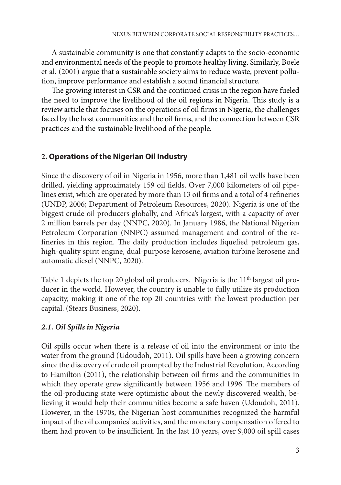A sustainable community is one that constantly adapts to the socio-economic and environmental needs of the people to promote healthy living. Similarly, Boele et al. (2001) argue that a sustainable society aims to reduce waste, prevent pollution, improve performance and establish a sound financial structure.

The growing interest in CSR and the continued crisis in the region have fueled the need to improve the livelihood of the oil regions in Nigeria. This study is a review article that focuses on the operations of oil firms in Nigeria, the challenges faced by the host communities and the oil firms, and the connection between CSR practices and the sustainable livelihood of the people.

## **2. Operations of the Nigerian Oil Industry**

Since the discovery of oil in Nigeria in 1956, more than 1,481 oil wells have been drilled, yielding approximately 159 oil fields. Over 7,000 kilometers of oil pipelines exist, which are operated by more than 13 oil firms and a total of 4 refineries (UNDP, 2006; Department of Petroleum Resources, 2020). Nigeria is one of the biggest crude oil producers globally, and Africa's largest, with a capacity of over 2 million barrels per day (NNPC, 2020). In January 1986, the National Nigerian Petroleum Corporation (NNPC) assumed management and control of the refineries in this region. The daily production includes liquefied petroleum gas, high-quality spirit engine, dual-purpose kerosene, aviation turbine kerosene and automatic diesel (NNPC, 2020).

Table 1 depicts the top 20 global oil producers. Nigeria is the  $11<sup>th</sup>$  largest oil producer in the world. However, the country is unable to fully utilize its production capacity, making it one of the top 20 countries with the lowest production per capital. (Stears Business, 2020).

# *2.1. Oil Spills in Nigeria*

Oil spills occur when there is a release of oil into the environment or into the water from the ground (Udoudoh, 2011). Oil spills have been a growing concern since the discovery of crude oil prompted by the Industrial Revolution. According to Hamilton (2011), the relationship between oil firms and the communities in which they operate grew significantly between 1956 and 1996. The members of the oil-producing state were optimistic about the newly discovered wealth, believing it would help their communities become a safe haven (Udoudoh, 2011). However, in the 1970s, the Nigerian host communities recognized the harmful impact of the oil companies' activities, and the monetary compensation offered to them had proven to be insufficient. In the last 10 years, over 9,000 oil spill cases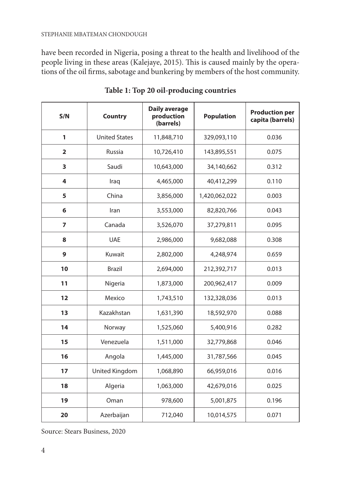#### STEPHANIE MBATEMAN CHONDOUGH

have been recorded in Nigeria, posing a threat to the health and livelihood of the people living in these areas (Kalejaye, 2015). This is caused mainly by the operations of the oil firms, sabotage and bunkering by members of the host community.

| S/N            | <b>Country</b>       | <b>Daily average</b><br>production<br>(barrels) | <b>Population</b> | <b>Production per</b><br>capita (barrels) |
|----------------|----------------------|-------------------------------------------------|-------------------|-------------------------------------------|
| 1              | <b>United States</b> | 11,848,710                                      | 329,093,110       | 0.036                                     |
| $\overline{2}$ | Russia               | 10,726,410                                      | 143,895,551       | 0.075                                     |
| 3              | Saudi                | 10,643,000                                      | 34,140,662        | 0.312                                     |
| 4              | Iraq                 | 4,465,000                                       | 40,412,299        | 0.110                                     |
| 5              | China                | 3,856,000                                       | 1,420,062,022     | 0.003                                     |
| 6              | Iran                 | 3,553,000                                       | 82,820,766        | 0.043                                     |
| $\overline{7}$ | Canada               | 3,526,070                                       | 37,279,811        | 0.095                                     |
| 8              | <b>UAE</b>           | 2,986,000                                       | 9,682,088         | 0.308                                     |
| 9              | Kuwait               | 2,802,000                                       | 4,248,974         | 0.659                                     |
| 10             | <b>Brazil</b>        | 2,694,000                                       | 212,392,717       | 0.013                                     |
| 11             | Nigeria              | 1,873,000                                       | 200,962,417       | 0.009                                     |
| 12             | Mexico               | 1,743,510                                       | 132,328,036       | 0.013                                     |
| 13             | Kazakhstan           | 1,631,390                                       | 18,592,970        | 0.088                                     |
| 14             | Norway               | 1,525,060                                       | 5,400,916         | 0.282                                     |
| 15             | Venezuela            | 1,511,000                                       | 32,779,868        | 0.046                                     |
| 16             | Angola               | 1,445,000                                       | 31,787,566        | 0.045                                     |
| 17             | United Kingdom       | 1,068,890                                       | 66,959,016        | 0.016                                     |
| 18             | Algeria              | 1,063,000                                       | 42,679,016        | 0.025                                     |
| 19             | Oman                 | 978,600                                         | 5,001,875         | 0.196                                     |
| 20             | Azerbaijan           | 712,040                                         | 10,014,575        | 0.071                                     |

**Table 1: Top 20 oil-producing countries**

Source: Stears Business, 2020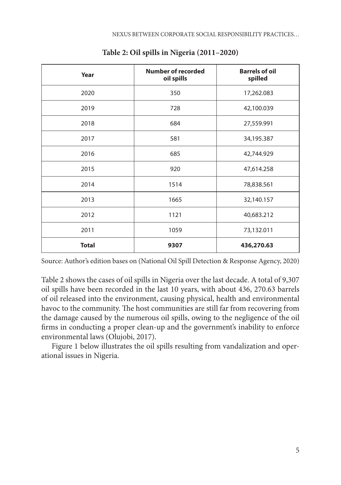| Year         | <b>Number of recorded</b><br>oil spills | <b>Barrels of oil</b><br>spilled |
|--------------|-----------------------------------------|----------------------------------|
| 2020         | 350                                     | 17,262.083                       |
| 2019         | 728                                     | 42,100.039                       |
| 2018         | 684                                     | 27,559.991                       |
| 2017         | 581                                     | 34,195.387                       |
| 2016         | 685                                     | 42,744.929                       |
| 2015         | 920                                     | 47,614.258                       |
| 2014         | 1514                                    | 78,838.561                       |
| 2013         | 1665                                    | 32,140.157                       |
| 2012         | 1121                                    | 40,683.212                       |
| 2011         | 1059                                    | 73,132.011                       |
| <b>Total</b> | 9307                                    | 436,270.63                       |

**Table 2: Oil spills in Nigeria (2011–2020)**

Source: Author's edition bases on (National Oil Spill Detection & Response Agency, 2020)

Table 2 shows the cases of oil spills in Nigeria over the last decade. A total of 9,307 oil spills have been recorded in the last 10 years, with about 436, 270.63 barrels of oil released into the environment, causing physical, health and environmental havoc to the community. The host communities are still far from recovering from the damage caused by the numerous oil spills, owing to the negligence of the oil firms in conducting a proper clean-up and the government's inability to enforce environmental laws (Olujobi, 2017).

Figure 1 below illustrates the oil spills resulting from vandalization and operational issues in Nigeria.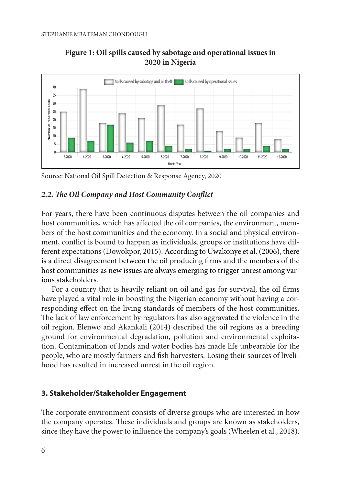



Source: National Oil Spill Detection & Response Agency, 2020 *Source: National Oil Spill Detection & Response Agency, 2020*

## *2.2. The Oil Company and Host Community Conflict*

For years, there have been continuous disputes between the oil companies and host communities, which has affected the oil companies, the environment, members of the host communities and the economy. In a social and physical environment, conflict is bound to happen as individuals, groups or institutions have different expectations (Dowokpor, 2015). According to Uwakonye et al. (2006), there is a direct disagreement between the oil producing firms and the members of the host communities as new issues are always emerging to trigger unrest among varfor a country that is heavily reliant on our survival, the oil firms have played a vital firms have played a vital firms have played a vital firms have played a vital firms have played a vital firms have played a vital fir

For a country that is heavily reliant on oil and gas for survival, the oil firms have played a vital role in boosting the Nigerian economy without having a corresponding effect on the living standards of members of the host communities. The lack of law enforcement by regulators has also aggravated the violence in the Include of law emore emergencies has also associated the violence in the oil region. Elenwo and Akankali (2014) described the oil regions as a breeding ground for environmental degradation, pollution and environmental exploitation. Contamination of lands and water bodies has made life unbearable for the people, who are mostly farmers and fish harvesters. Losing their sources of livelihood has resulted in increased unrest in the oil region. on region. Elenwo and Akalikan (2014) described the on regions as a breeding

#### **3. Stakeholder/Stakeholder Engagement** objectives. The term 'stakeholder' refers to a party with the power to influence an organization

The corporate environment consists of diverse groups who are interested in how the company operates. These individuals and groups are known as stakeholders, since they have the power to influence the company's goals (Wheelen et al., 2018). The corporate chynomical consists of urverse groups who are interested in how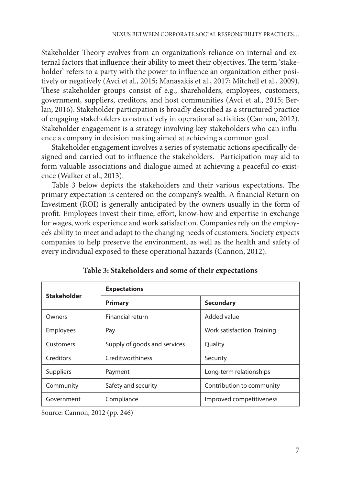Stakeholder Theory evolves from an organization's reliance on internal and external factors that influence their ability to meet their objectives. The term 'stakeholder' refers to a party with the power to influence an organization either positively or negatively (Avci et al., 2015; Manasakis et al., 2017; Mitchell et al., 2009). These stakeholder groups consist of e.g., shareholders, employees, customers, government, suppliers, creditors, and host communities (Avci et al., 2015; Berlan, 2016). Stakeholder participation is broadly described as a structured practice of engaging stakeholders constructively in operational activities (Cannon, 2012). Stakeholder engagement is a strategy involving key stakeholders who can influence a company in decision making aimed at achieving a common goal.

Stakeholder engagement involves a series of systematic actions specifically designed and carried out to influence the stakeholders. Participation may aid to form valuable associations and dialogue aimed at achieving a peaceful co-existence (Walker et al., 2013).

Table 3 below depicts the stakeholders and their various expectations. The primary expectation is centered on the company's wealth. A financial Return on Investment (ROI) is generally anticipated by the owners usually in the form of profit. Employees invest their time, effort, know-how and expertise in exchange for wages, work experience and work satisfaction. Companies rely on the employee's ability to meet and adapt to the changing needs of customers. Society expects companies to help preserve the environment, as well as the health and safety of every individual exposed to these operational hazards (Cannon, 2012).

| <b>Stakeholder</b> | <b>Expectations</b>          |                             |  |  |
|--------------------|------------------------------|-----------------------------|--|--|
|                    | <b>Primary</b>               | <b>Secondary</b>            |  |  |
| Owners             | Financial return             | Added value                 |  |  |
| <b>Employees</b>   | Pay                          | Work satisfaction. Training |  |  |
| Customers          | Supply of goods and services | Quality                     |  |  |
| Creditors          | Creditworthiness             | Security                    |  |  |
| Suppliers          | Payment                      | Long-term relationships     |  |  |
| Community          | Safety and security          | Contribution to community   |  |  |
| Government         | Compliance                   | Improved competitiveness    |  |  |

**Table 3: Stakeholders and some of their expectations**

Source: Cannon, 2012 (pp. 246)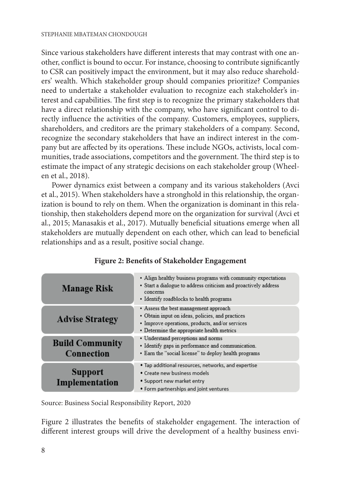Since various stakeholders have different interests that may contrast with one another, conflict is bound to occur. For instance, choosing to contribute significantly to CSR can positively impact the environment, but it may also reduce shareholders' wealth. Which stakeholder group should companies prioritize? Companies need to undertake a stakeholder evaluation to recognize each stakeholder's interest and capabilities. The first step is to recognize the primary stakeholders that have a direct relationship with the company, who have significant control to directly influence the activities of the company. Customers, employees, suppliers, shareholders, and creditors are the primary stakeholders of a company. Second, recognize the secondary stakeholders that have an indirect interest in the company but are affected by its operations. These include NGOs, activists, local communities, trade associations, competitors and the government. The third step is to estimate the impact of any strategic decisions on each stakeholder group (Wheelen et al., 2018).

Power dynamics exist between a company and its various stakeholders (Avci et al., 2015). When stakeholders have a stronghold in this relationship, the organization is bound to rely on them. When the organization is dominant in this relationship, then stakeholders depend more on the organization for survival (Avci et al., 2015; Manasakis et al., 2017). Mutually beneficial situations emerge when all extractive contribution of the stateholders are mutually dependent on each other, which can lead to beneficial relationships and as a result, positive social change. relationships are mutually dependent on contract to

| <b>Manage Risk</b>                   | • Align healthy business programs with community expectations<br>• Start a dialogue to address criticism and proactively address<br>concerns<br>• Identify roadblocks to health programs   |
|--------------------------------------|--------------------------------------------------------------------------------------------------------------------------------------------------------------------------------------------|
| <b>Advise Strategy</b>               | • Assess the best management approach<br>• Obtain input on ideas, policies, and practices<br>• Improve operations, products, and/or services<br>• Determine the appropriate health metrics |
| <b>Build Community</b><br>Connection | • Understand perceptions and norms<br>• Identify gaps in performance and communication.<br>• Earn the "social license" to deploy health programs                                           |
| Support<br>Implementation            | . Tap additional resources, networks, and expertise<br>• Create new business models<br>• Support new market entry<br>• Form partnerships and joint ventures                                |

# **Figure 2: Benefits of Stakeholder Engagement Figure 2: Benefits of Stakeholder Engagement**

Source: Business Social Responsibility Report, 2020 *Source: Business Social Responsibility Report, 2020*

Figure 2 illustrates the benefits of stakeholder engagement. The interaction of different interest groups will drive the development of a healthy business envi-Figure 2 illustrates the benefits of stakeholder engagement. The interaction of different interest Figure 2 illustrates the benefits of stakeholder engagement. The interaction of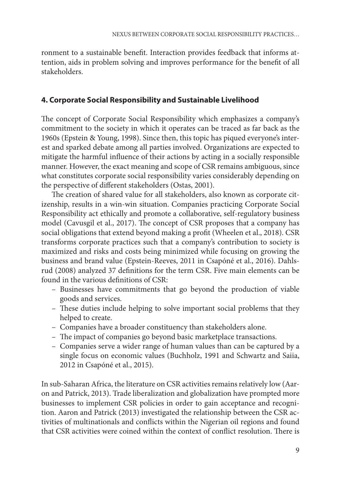ronment to a sustainable benefit. Interaction provides feedback that informs attention, aids in problem solving and improves performance for the benefit of all stakeholders.

## **4. Corporate Social Responsibility and Sustainable Livelihood**

The concept of Corporate Social Responsibility which emphasizes a company's commitment to the society in which it operates can be traced as far back as the 1960s (Epstein & Young, 1998). Since then, this topic has piqued everyone's interest and sparked debate among all parties involved. Organizations are expected to mitigate the harmful influence of their actions by acting in a socially responsible manner. However, the exact meaning and scope of CSR remains ambiguous, since what constitutes corporate social responsibility varies considerably depending on the perspective of different stakeholders (Ostas, 2001).

The creation of shared value for all stakeholders, also known as corporate citizenship, results in a win-win situation. Companies practicing Corporate Social Responsibility act ethically and promote a collaborative, self-regulatory business model (Cavusgil et al., 2017). The concept of CSR proposes that a company has social obligations that extend beyond making a profit (Wheelen et al., 2018). CSR transforms corporate practices such that a company's contribution to society is maximized and risks and costs being minimized while focusing on growing the business and brand value (Epstein-Reeves, 2011 in Csapóné et al., 2016). Dahlsrud (2008) analyzed 37 definitions for the term CSR. Five main elements can be found in the various definitions of CSR:

- Businesses have commitments that go beyond the production of viable goods and services.
- These duties include helping to solve important social problems that they helped to create.
- Companies have a broader constituency than stakeholders alone.
- The impact of companies go beyond basic marketplace transactions.
- Companies serve a wider range of human values than can be captured by a single focus on economic values (Buchholz, 1991 and Schwartz and Saiia, 2012 in Csapóné et al., 2015).

In sub-Saharan Africa, the literature on CSR activities remains relatively low (Aaron and Patrick, 2013). Trade liberalization and globalization have prompted more businesses to implement CSR policies in order to gain acceptance and recognition. Aaron and Patrick (2013) investigated the relationship between the CSR activities of multinationals and conflicts within the Nigerian oil regions and found that CSR activities were coined within the context of conflict resolution. There is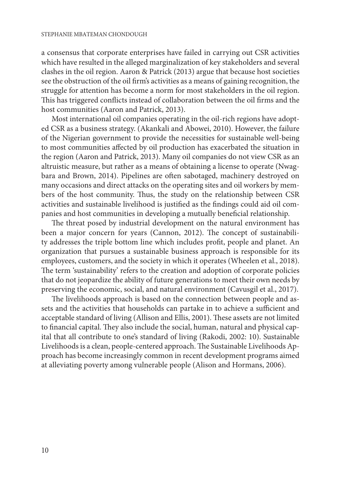a consensus that corporate enterprises have failed in carrying out CSR activities which have resulted in the alleged marginalization of key stakeholders and several clashes in the oil region. Aaron & Patrick (2013) argue that because host societies see the obstruction of the oil firm's activities as a means of gaining recognition, the struggle for attention has become a norm for most stakeholders in the oil region. This has triggered conflicts instead of collaboration between the oil firms and the host communities (Aaron and Patrick, 2013).

Most international oil companies operating in the oil-rich regions have adopted CSR as a business strategy. (Akankali and Abowei, 2010). However, the failure of the Nigerian government to provide the necessities for sustainable well-being to most communities affected by oil production has exacerbated the situation in the region (Aaron and Patrick, 2013). Many oil companies do not view CSR as an altruistic measure, but rather as a means of obtaining a license to operate (Nwagbara and Brown, 2014). Pipelines are often sabotaged, machinery destroyed on many occasions and direct attacks on the operating sites and oil workers by members of the host community. Thus, the study on the relationship between CSR activities and sustainable livelihood is justified as the findings could aid oil companies and host communities in developing a mutually beneficial relationship.

The threat posed by industrial development on the natural environment has been a major concern for years (Cannon, 2012). The concept of sustainability addresses the triple bottom line which includes profit, people and planet. An organization that pursues a sustainable business approach is responsible for its employees, customers, and the society in which it operates (Wheelen et al., 2018). The term 'sustainability' refers to the creation and adoption of corporate policies that do not jeopardize the ability of future generations to meet their own needs by preserving the economic, social, and natural environment (Cavusgil et al., 2017).

The livelihoods approach is based on the connection between people and assets and the activities that households can partake in to achieve a sufficient and acceptable standard of living (Allison and Ellis, 2001). These assets are not limited to financial capital. They also include the social, human, natural and physical capital that all contribute to one's standard of living (Rakodi, 2002: 10). Sustainable Livelihoods is a clean, people-centered approach. The Sustainable Livelihoods Approach has become increasingly common in recent development programs aimed at alleviating poverty among vulnerable people (Alison and Hormans, 2006).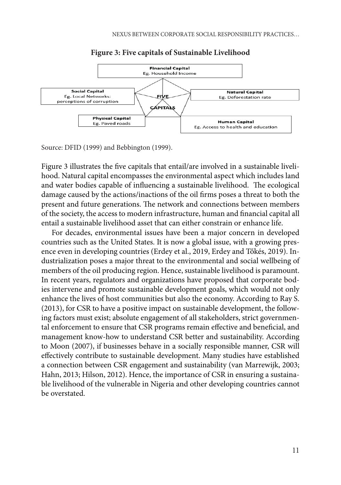

#### **Figure 3: Five capitals of Sustainable Livelihood Figure 3: Five capitals of Sustainable Livelihood**

Source: DFID (1999) and Bebbington (1999). *Source: DFID (1999) and Bebbington (1999).*

Figure 3 illustrates the five capitals that entail/are involved in a sustainable livelihood. Natural capital encompasses the environmental aspect which includes land and water bodies capable of influencing a sustainable livelihood. The ecological damage caused by the actions/inactions of the oil firms poses a threat to both the  $a$  all entail as sustained by the all entails. The network and connections between members present and future generations. The network and connections between members of the society, the access to modern infrastructure, human and financial capital all entail a sustainable livelihood asset that can either constrain or enhance life. Figure 3 illustrates the five capitals that entail/are involved in a sustainable livelihood. Natural

For decades, environmental issues have been a major concern in developed countries such as the United States. It is now a global issue, with a growing presence even in developing countries (Erdey et al., 2019, Erdey and Tőkés, 2019). Industrialization poses a major threat to the environmental and social wellbeing of members of the oil producing region. Hence, sustainable livelihood is paramount. In recent years, regulators and organizations have proposed that corporate bodies intervene and promote sustainable development goals, which would not only enhance the lives of host communities but also the economy. According to Ray S. efficiency in the strike communities surface the contentry recovering to ray studies (2013), for CSR to have a positive impact on sustainable development, the following factors must exist; absolute engagement of all stakeholders, strict governmental enforcement to ensure that CSR programs remain effective and beneficial, and management know-how to understand CSR better and sustainability. According to Moon (2007), if businesses behave in a socially responsible manner, CSR will effectively contribute to sustainable development. Many studies have established a connection between CSR engagement and sustainability (van Marrewijk, 2003; Hahn, 2013; Hilson, 2012). Hence, the importance of CSR in ensuring a sustainable livelihood of the vulnerable in Nigeria and other developing countries cannot be overstated. bodies intervene and promote sustainable development goals, which was provided in the condition of  $\epsilon$ (2013), for CSR to have a positive impact on sustainable development, the follow-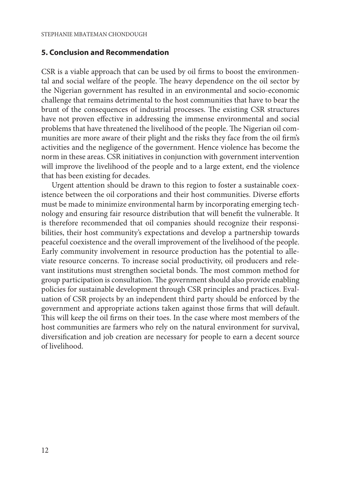### **5. Conclusion and Recommendation**

CSR is a viable approach that can be used by oil firms to boost the environmental and social welfare of the people. The heavy dependence on the oil sector by the Nigerian government has resulted in an environmental and socio-economic challenge that remains detrimental to the host communities that have to bear the brunt of the consequences of industrial processes. The existing CSR structures have not proven effective in addressing the immense environmental and social problems that have threatened the livelihood of the people. The Nigerian oil communities are more aware of their plight and the risks they face from the oil firm's activities and the negligence of the government. Hence violence has become the norm in these areas. CSR initiatives in conjunction with government intervention will improve the livelihood of the people and to a large extent, end the violence that has been existing for decades.

Urgent attention should be drawn to this region to foster a sustainable coexistence between the oil corporations and their host communities. Diverse efforts must be made to minimize environmental harm by incorporating emerging technology and ensuring fair resource distribution that will benefit the vulnerable. It is therefore recommended that oil companies should recognize their responsibilities, their host community's expectations and develop a partnership towards peaceful coexistence and the overall improvement of the livelihood of the people. Early community involvement in resource production has the potential to alleviate resource concerns. To increase social productivity, oil producers and relevant institutions must strengthen societal bonds. The most common method for group participation is consultation. The government should also provide enabling policies for sustainable development through CSR principles and practices. Evaluation of CSR projects by an independent third party should be enforced by the government and appropriate actions taken against those firms that will default. This will keep the oil firms on their toes. In the case where most members of the host communities are farmers who rely on the natural environment for survival, diversification and job creation are necessary for people to earn a decent source of livelihood.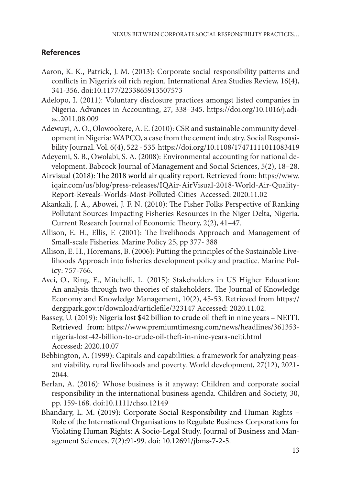# **References**

- Aaron, K. K., Patrick, J. M. (2013): Corporate social responsibility patterns and conflicts in Nigeria's oil rich region. International Area Studies Review, 16(4), 341-356. doi:10.1177/2233865913507573
- Adelopo, I. (2011): Voluntary disclosure practices amongst listed companies in Nigeria. Advances in Accounting, 27, 338–345. https://doi.org/10.1016/j.adiac.2011.08.009
- Adewuyi, A. O., Olowookere, A. E. (2010): CSR and sustainable community development in Nigeria: WAPCO, a case from the cement industry. Social Responsibility Journal. Vol. 6(4), 522 - 535 https://doi.org/10.1108/17471111011083419
- Adeyemi, S. B., Owolabi, S. A. (2008): Environmental accounting for national development. Babcock Journal of Management and Social Sciences, 5(2), 18–28.
- Airvisual (2018): The 2018 world air quality report. Retrieved from: https://www. iqair.com/us/blog/press-releases/IQAir-AirVisual-2018-World-Air-Quality-Report-Reveals-Worlds-Most-Polluted-Cities Accessed: 2020.11.02
- Akankali, J. A., Abowei, J. F. N. (2010): The Fisher Folks Perspective of Ranking Pollutant Sources Impacting Fisheries Resources in the Niger Delta, Nigeria. Current Research Journal of Economic Theory, 2(2), 41–47.
- Allison, E. H., Ellis, F. (2001): The livelihoods Approach and Management of Small-scale Fisheries. Marine Policy 25, pp 377- 388
- Allison, E. H., Horemans, B. (2006): Putting the principles of the Sustainable Livelihoods Approach into fisheries development policy and practice. Marine Policy: 757-766.
- Avci, O., Ring, E., Mitchelli, L. (2015): Stakeholders in US Higher Education: An analysis through two theories of stakeholders. The Journal of Knowledge Economy and Knowledge Management, 10(2), 45-53. Retrieved from https:// dergipark.gov.tr/download/articlefile/323147 Accessed: 2020.11.02.
- Bassey, U. (2019): Nigeria lost \$42 billion to crude oil theft in nine years NEITI. Retrieved from: https://www.premiumtimesng.com/news/headlines/361353 nigeria-lost-42-billion-to-crude-oil-theft-in-nine-years-neiti.html Accessed: 2020.10.07
- Bebbington, A. (1999): Capitals and capabilities: a framework for analyzing peasant viability, rural livelihoods and poverty. World development, 27(12), 2021- 2044.
- Berlan, A. (2016): Whose business is it anyway: Children and corporate social responsibility in the international business agenda. Children and Society, 30, pp. 159-168. doi:10.1111/chso.12149
- Bhandary, L. M. (2019): Corporate Social Responsibility and Human Rights Role of the International Organisations to Regulate Business Corporations for Violating Human Rights: A Socio-Legal Study. Journal of Business and Management Sciences. 7(2):91-99. doi: 10.12691/jbms-7-2-5.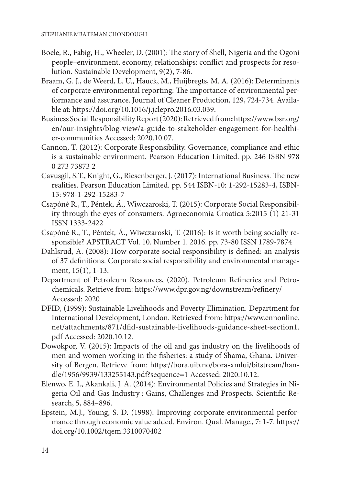- Boele, R., Fabig, H., Wheeler, D. (2001): The story of Shell, Nigeria and the Ogoni people–environment, economy, relationships: conflict and prospects for resolution. Sustainable Development, 9(2), 7-86.
- Braam, G. J., de Weerd, L. U., Hauck, M., Huijbregts, M. A. (2016): Determinants of corporate environmental reporting: The importance of environmental performance and assurance. Journal of Cleaner Production, 129, 724-734. Available at: https://doi.org/10.1016/j.jclepro.2016.03.039.
- Business Social Responsibility Report (2020):Retrieved from**:** https://www.bsr.org/ en/our-insights/blog-view/a-guide-to-stakeholder-engagement-for-healthier-communities Accessed: 2020.10.07.
- Cannon, T. (2012): Corporate Responsibility. Governance, compliance and ethic is a sustainable environment. Pearson Education Limited. pp. 246 ISBN 978 0 273 73873 2
- Cavusgil, S.T., Knight, G., Riesenberger, J. (2017): International Business. The new realities. Pearson Education Limited. pp. 544 ISBN-10: 1-292-15283-4, ISBN-13: 978-1-292-15283-7
- Csapóné R., T., Péntek, Á., Wiwczaroski, T. (2015): Corporate Social Responsibility through the eyes of consumers. Agroeconomia Croatica 5:2015 (1) 21-31 ISSN 1333-2422
- Csapóné R., T., Péntek, Á., Wiwczaroski, T. (2016): Is it worth being socially responsible? APSTRACT Vol. 10. Number 1. 2016. pp. 73-80 ISSN 1789-7874
- Dahlsrud, A. (2008): How corporate social responsibility is defined: an analysis of 37 definitions. Corporate social responsibility and environmental management, 15(1), 1-13.
- Department of Petroleum Resources, (2020). Petroleum Refineries and Petrochemicals. Retrieve from: https://www.dpr.gov.ng/downstream/refinery/ Accessed: 2020
- DFID, (1999): Sustainable Livelihoods and Poverty Elimination. Department for International Development, London. Retrieved from: https://www.ennonline. net/attachments/871/dfid-sustainable-livelihoods-guidance-sheet-section1. pdf Accessed: 2020.10.12.
- Dowokpor, V. (2015): Impacts of the oil and gas industry on the livelihoods of men and women working in the fisheries: a study of Shama, Ghana. University of Bergen. Retrieve from: https://bora.uib.no/bora-xmlui/bitstream/handle/1956/9939/133255143.pdf?sequence=1 Accessed: 2020.10.12.
- Elenwo, E. I., Akankali, J. A. (2014): Environmental Policies and Strategies in Nigeria Oil and Gas Industry : Gains, Challenges and Prospects. Scientific Research, 5, 884–896.
- Epstein, M.J., Young, S. D. (1998): Improving corporate environmental performance through economic value added. Environ. Qual. Manage., 7: 1-7. https:// doi.org/10.1002/tqem.3310070402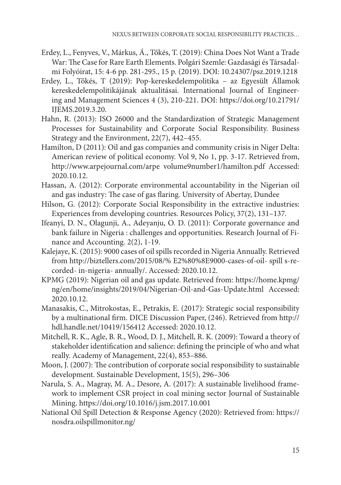- Erdey, L., Fenyves, V., Márkus, Á., Tőkés, T. (2019): China Does Not Want a Trade War: The Case for Rare Earth Elements. Polgári Szemle: Gazdasági és Társadalmi Folyóirat, 15: 4-6 pp. 281-295., 15 p. (2019). DOI: 10.24307/psz.2019.1218
- Erdey, L., Tőkés, T (2019): Pop-kereskedelempolitika az Egyesült Államok kereskedelempolitikájának aktualitásai. International Journal of Engineering and Management Sciences 4 (3), 210-221. DOI: https://doi.org/10.21791/ IJEMS.2019.3.20.
- Hahn, R. (2013): ISO 26000 and the Standardization of Strategic Management Processes for Sustainability and Corporate Social Responsibility. Business Strategy and the Environment, 22(7), 442–455.
- Hamilton, D (2011): Oil and gas companies and community crisis in Niger Delta: American review of political economy. Vol 9, No 1, pp. 3-17. Retrieved from, http://www.arpejournal.com/arpe volume9number1/hamilton.pdf Accessed: 2020.10.12.
- Hassan, A. (2012): Corporate environmental accountability in the Nigerian oil and gas industry: The case of gas flaring. University of Abertay, Dundee
- Hilson, G. (2012): Corporate Social Responsibility in the extractive industries: Experiences from developing countries. Resources Policy, 37(2), 131–137.
- Ifeanyi, D. N., Olagunji, A., Adeyanju, O. D. (2011): Corporate governance and bank failure in Nigeria : challenges and opportunities. Research Journal of Finance and Accounting. 2(2), 1-19.
- Kalejaye, K. (2015): 9000 cases of oil spills recorded in Nigeria Annually. Retrieved from http://biztellers.com/2015/08/% E2%80%8E9000-cases-of-oil- spill s-recorded- in-nigeria- annually/. Accessed: 2020.10.12.
- KPMG (2019): Nigerian oil and gas update. Retrieved from: https://home.kpmg/ ng/en/home/insights/2019/04/Nigerian-Oil-and-Gas-Update.html Accessed: 2020.10.12.
- Manasakis, C., Mitrokostas, E., Petrakis, E. (2017): Strategic social responsibility by a multinational firm. DICE Discussion Paper, (246). Retrieved from http:// hdl.handle.net/10419/156412 Accessed: 2020.10.12.
- Mitchell, R. K., Agle, B. R., Wood, D. J., Mitchell, R. K. (2009): Toward a theory of stakeholder identification and salience: defining the principle of who and what really. Academy of Management, 22(4), 853–886.
- Moon, J. (2007): The contribution of corporate social responsibility to sustainable development. Sustainable Development, 15(5), 296–306
- Narula, S. A., Magray, M. A., Desore, A. (2017): A sustainable livelihood framework to implement CSR project in coal mining sector Journal of Sustainable Mining. https://doi.org/10.1016/j.jsm.2017.10.001
- National Oil Spill Detection & Response Agency (2020): Retrieved from: https:// nosdra.oilspillmonitor.ng/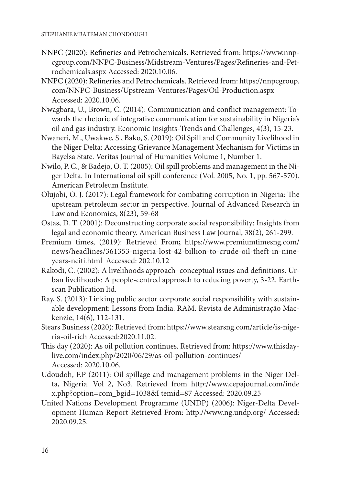- NNPC (2020): Refineries and Petrochemicals. Retrieved from: https://www.nnpcgroup.com/NNPC-Business/Midstream-Ventures/Pages/Refineries-and-Petrochemicals.aspx Accessed: 2020.10.06.
- NNPC (2020): Refineries and Petrochemicals. Retrieved from: https://nnpcgroup. com/NNPC-Business/Upstream-Ventures/Pages/Oil-Production.aspx Accessed: 2020.10.06.
- Nwagbara, U., Brown, C. (2014): Communication and conflict management: Towards the rhetoric of integrative communication for sustainability in Nigeria's oil and gas industry. Economic Insights-Trends and Challenges, 4(3), 15-23.
- Nwaneri, M., Uwakwe, S., Bako, S. (2019): Oil Spill and Community Livelihood in the Niger Delta: Accessing Grievance Management Mechanism for Victims in Bayelsa State. Veritas Journal of Humanities Volume 1, Number 1.
- Nwilo, P. C., & Badejo, O. T. (2005): Oil spill problems and management in the Niger Delta. In International oil spill conference (Vol. 2005, No. 1, pp. 567-570). American Petroleum Institute.
- Olujobi, O. J. (2017): Legal framework for combating corruption in Nigeria: The upstream petroleum sector in perspective. Journal of Advanced Research in Law and Economics, 8(23), 59-68
- Ostas, D. T. (2001): Deconstructing corporate social responsibility: Insights from legal and economic theory. American Business Law Journal, 38(2), 261-299.
- Premium times, (2019): Retrieved From**;** https://www.premiumtimesng.com/ news/headlines/361353-nigeria-lost-42-billion-to-crude-oil-theft-in-nineyears-neiti.html Accessed: 202.10.12
- Rakodi, C. (2002): A livelihoods approach–conceptual issues and definitions. Urban livelihoods: A people-centred approach to reducing poverty, 3-22. Earthscan Publication ltd.
- Ray, S. (2013): Linking public sector corporate social responsibility with sustainable development: Lessons from India. RAM. Revista de Administração Mackenzie, 14(6), 112-131.
- Stears Business (2020): Retrieved from: https://www.stearsng.com/article/is-nigeria-oil-rich Accessed:2020.11.02.
- This day (2020): As oil pollution continues. Retrieved from: https://www.thisdaylive.com/index.php/2020/06/29/as-oil-pollution-continues/ Accessed: 2020.10.06.
- Udoudoh, F.P (2011): Oil spillage and management problems in the Niger Delta, Nigeria. Vol 2, No3. Retrieved from http://www.cepajournal.com/inde x.php?option=com\_bgid=1038&I temid=87 Accessed: 2020.09.25
- United Nations Development Programme (UNDP) (2006): Niger-Delta Development Human Report Retrieved From: http://www.ng.undp.org/ Accessed: 2020.09.25.